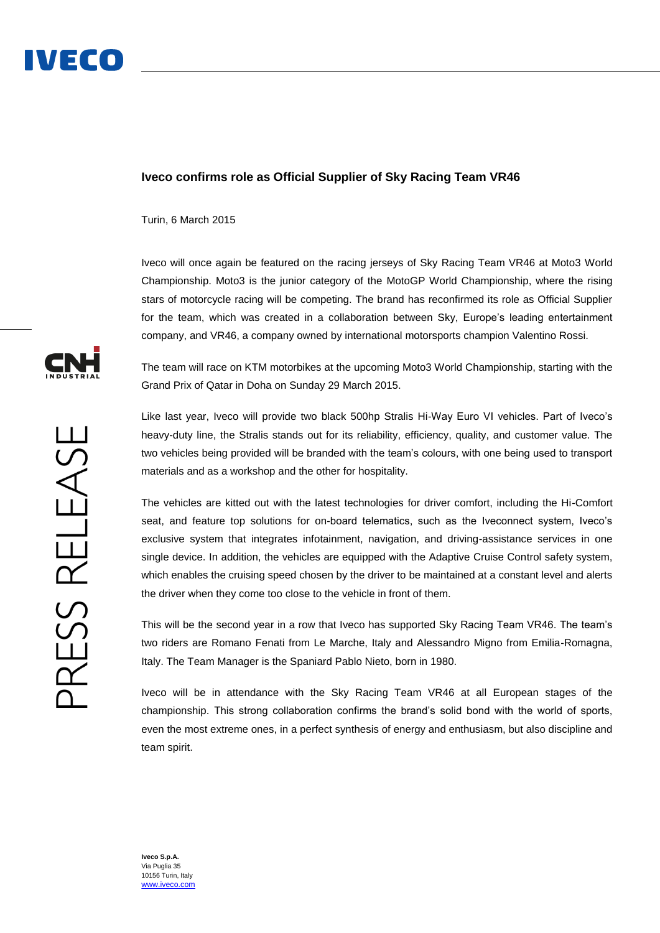## **Iveco confirms role as Official Supplier of Sky Racing Team VR46**

Turin, 6 March 2015

Iveco will once again be featured on the racing jerseys of Sky Racing Team VR46 at Moto3 World Championship. Moto3 is the junior category of the MotoGP World Championship, where the rising stars of motorcycle racing will be competing. The brand has reconfirmed its role as Official Supplier for the team, which was created in a collaboration between Sky, Europe's leading entertainment company, and VR46, a company owned by international motorsports champion Valentino Rossi.

The team will race on KTM motorbikes at the upcoming Moto3 World Championship, starting with the Grand Prix of Qatar in Doha on Sunday 29 March 2015.

Like last year, Iveco will provide two black 500hp Stralis Hi-Way Euro VI vehicles. Part of Iveco's heavy-duty line, the Stralis stands out for its reliability, efficiency, quality, and customer value. The two vehicles being provided will be branded with the team's colours, with one being used to transport materials and as a workshop and the other for hospitality.

The vehicles are kitted out with the latest technologies for driver comfort, including the Hi-Comfort seat, and feature top solutions for on-board telematics, such as the Iveconnect system, Iveco's exclusive system that integrates infotainment, navigation, and driving-assistance services in one single device. In addition, the vehicles are equipped with the Adaptive Cruise Control safety system, which enables the cruising speed chosen by the driver to be maintained at a constant level and alerts the driver when they come too close to the vehicle in front of them.

This will be the second year in a row that Iveco has supported Sky Racing Team VR46. The team's two riders are Romano Fenati from Le Marche, Italy and Alessandro Migno from Emilia-Romagna, Italy. The Team Manager is the Spaniard Pablo Nieto, born in 1980.

Iveco will be in attendance with the Sky Racing Team VR46 at all European stages of the championship. This strong collaboration confirms the brand's solid bond with the world of sports, even the most extreme ones, in a perfect synthesis of energy and enthusiasm, but also discipline and team spirit.